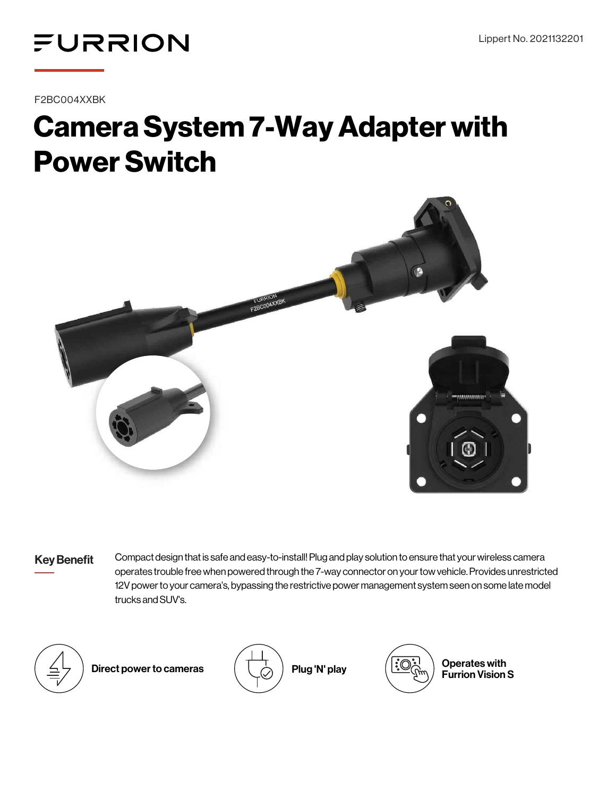

F2BC004XXBK

## Camera System 7-Way Adapter with Power Switch



Key Benefit Compact design that is safe and easy-to-install! Plug and play solution to ensure that your wireless camera operates trouble free when powered through the 7-way connector on your tow vehicle. Provides unrestricted 12V power to your camera's, bypassing the restrictive power management system seen on some late model trucks and SUV's.



Direct power to cameras  $\begin{pmatrix} 1 & 1 \ 1 & 1 \end{pmatrix}$  Plug 'N' play  $\begin{pmatrix} \frac{3}{2} \end{pmatrix}$   $\begin{pmatrix} 3 & 1 \ 1 & 1 \end{pmatrix}$  Operates with





Furrion Vision S